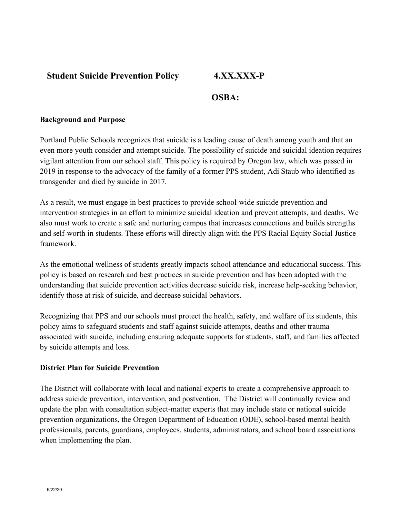# **Student Suicide Prevention Policy 4.XX.XXX-P**

# **OSBA:**

### **Background and Purpose**

Portland Public Schools recognizes that suicide is a leading cause of death among youth and that an even more youth consider and attempt suicide. The possibility of suicide and suicidal ideation requires vigilant attention from our school staff. This policy is required by Oregon law, which was passed in 2019 in response to the advocacy of the family of a former PPS student, Adi Staub who identified as transgender and died by suicide in 2017.

As a result, we must engage in best practices to provide school-wide suicide prevention and intervention strategies in an effort to minimize suicidal ideation and prevent attempts, and deaths. We also must work to create a safe and nurturing campus that increases connections and builds strengths and self-worth in students. These efforts will directly align with the PPS Racial Equity Social Justice framework.

As the emotional wellness of students greatly impacts school attendance and educational success. This policy is based on research and best practices in suicide prevention and has been adopted with the understanding that suicide prevention activities decrease suicide risk, increase help-seeking behavior, identify those at risk of suicide, and decrease suicidal behaviors.

Recognizing that PPS and our schools must protect the health, safety, and welfare of its students, this policy aims to safeguard students and staff against suicide attempts, deaths and other trauma associated with suicide, including ensuring adequate supports for students, staff, and families affected by suicide attempts and loss.

### **District Plan for Suicide Prevention**

The District will collaborate with local and national experts to create a comprehensive approach to address suicide prevention, intervention, and postvention. The District will continually review and update the plan with consultation subject-matter experts that may include state or national suicide prevention organizations, the Oregon Department of Education (ODE), school-based mental health professionals, parents, guardians, employees, students, administrators, and school board associations when implementing the plan.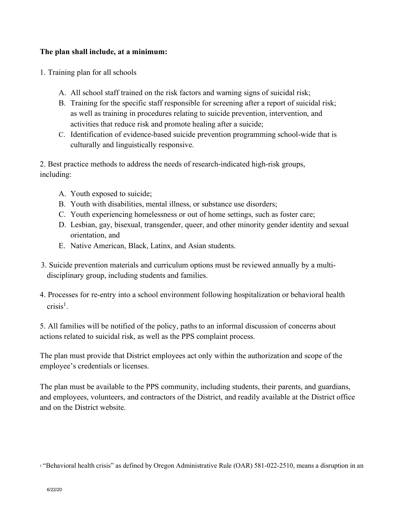## **The plan shall include, at a minimum:**

- 1. Training plan for all schools
	- A. All school staff trained on the risk factors and warning signs of suicidal risk;
	- B. Training for the specific staff responsible for screening after a report of suicidal risk; as well as training in procedures relating to suicide prevention, intervention, and activities that reduce risk and promote healing after a suicide;
	- C. Identification of evidence-based suicide prevention programming school-wide that is culturally and linguistically responsive.

2. Best practice methods to address the needs of research-indicated high-risk groups, including:

- A. Youth exposed to suicide;
- B. Youth with disabilities, mental illness, or substance use disorders;
- C. Youth experiencing homelessness or out of home settings, such as foster care;
- D. Lesbian, gay, bisexual, transgender, queer, and other minority gender identity and sexual orientation, and
- E. Native American, Black, Latinx, and Asian students.
- 3. Suicide prevention materials and curriculum options must be reviewed annually by a multidisciplinary group, including students and families.
- 4. Processes for re-entry into a school environment following hospitalization or behavioral health  $crisis<sup>1</sup>$ .

5. All families will be notified of the policy, paths to an informal discussion of concerns about actions related to suicidal risk, as well as the PPS complaint process.

The plan must provide that District employees act only within the authorization and scope of the employee's credentials or licenses.

The plan must be available to the PPS community, including students, their parents, and guardians, and employees, volunteers, and contractors of the District, and readily available at the District office and on the District website.

<sup>1</sup> "Behavioral health crisis" as defined by Oregon Administrative Rule (OAR) 581-022-2510, means a disruption in an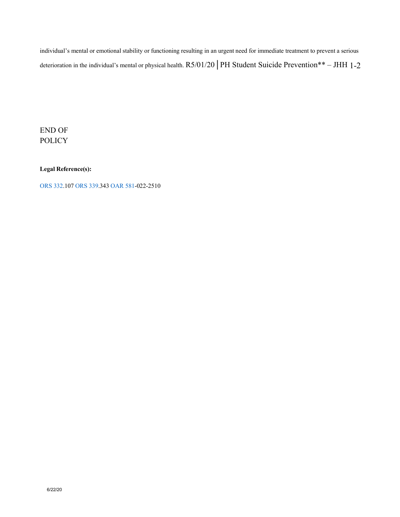individual's mental or emotional stability or functioning resulting in an urgent need for immediate treatment to prevent a serious deterioration in the individual's mental or physical health. R5/01/20 | PH Student Suicide Prevention\*\* – JHH 1-2

END OF POLICY

**Legal Reference(s):** 

ORS 332.107 ORS 339.343 OAR 581-022-2510